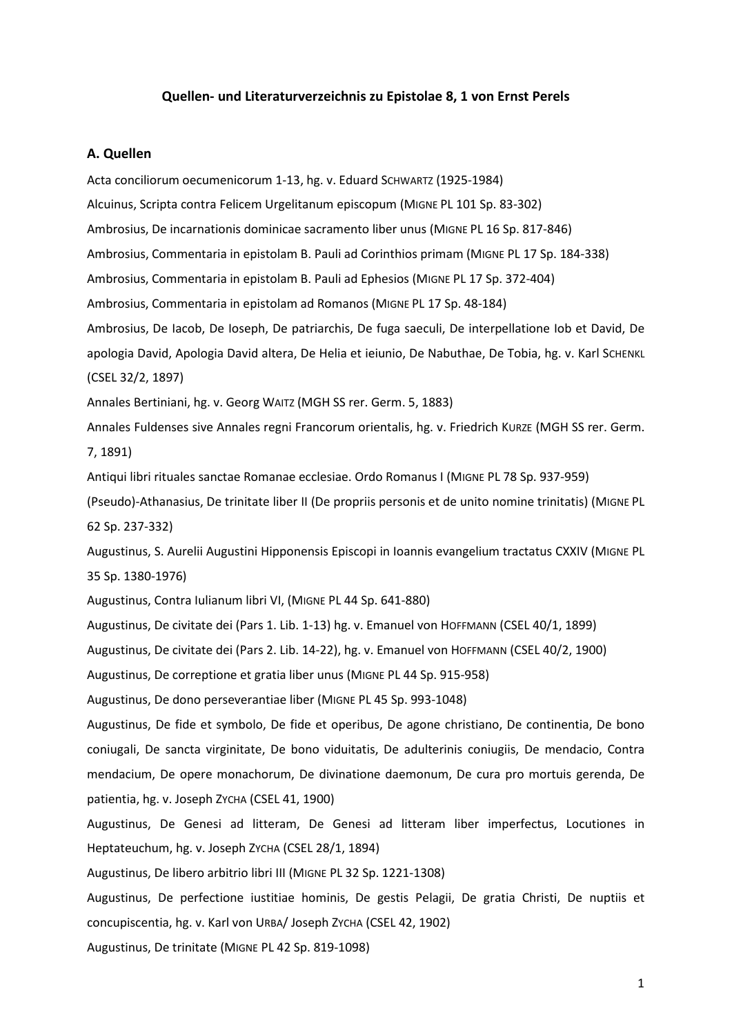## **Quellen- und Literaturverzeichnis zu Epistolae 8, 1 von Ernst Perels**

## **A. Quellen**

Acta conciliorum oecumenicorum 1-13, hg. v. Eduard SCHWARTZ (1925-1984) Alcuinus, Scripta contra Felicem Urgelitanum episcopum (MIGNE PL 101 Sp. 83-302) Ambrosius, De incarnationis dominicae sacramento liber unus (MIGNE PL 16 Sp. 817-846) Ambrosius, Commentaria in epistolam B. Pauli ad Corinthios primam (MIGNE PL 17 Sp. 184-338) Ambrosius, Commentaria in epistolam B. Pauli ad Ephesios (MIGNE PL 17 Sp. 372-404) Ambrosius, Commentaria in epistolam ad Romanos (MIGNE PL 17 Sp. 48-184) Ambrosius, De Iacob, De Ioseph, De patriarchis, De fuga saeculi, De interpellatione Iob et David, De apologia David, Apologia David altera, De Helia et ieiunio, De Nabuthae, De Tobia, hg. v. Karl SCHENKL (CSEL 32/2, 1897) Annales Bertiniani, hg. v. Georg WAITZ (MGH SS rer. Germ. 5, 1883) Annales Fuldenses sive Annales regni Francorum orientalis, hg. v. Friedrich KURZE (MGH SS rer. Germ. 7, 1891) Antiqui libri rituales sanctae Romanae ecclesiae. Ordo Romanus I (MIGNE PL 78 Sp. 937-959) (Pseudo)-Athanasius, De trinitate liber II (De propriis personis et de unito nomine trinitatis) (MIGNE PL 62 Sp. 237-332) Augustinus, S. Aurelii Augustini Hipponensis Episcopi in Ioannis evangelium tractatus CXXIV (MIGNE PL 35 Sp. 1380-1976) Augustinus, Contra Iulianum libri VI, (MIGNE PL 44 Sp. 641-880) Augustinus, De civitate dei (Pars 1. Lib. 1-13) hg. v. Emanuel von HOFFMANN (CSEL 40/1, 1899) Augustinus, De civitate dei (Pars 2. Lib. 14-22), hg. v. Emanuel von HOFFMANN (CSEL 40/2, 1900) Augustinus, De correptione et gratia liber unus (MIGNE PL 44 Sp. 915-958) Augustinus, De dono perseverantiae liber (MIGNE PL 45 Sp. 993-1048) Augustinus, De fide et symbolo, De fide et operibus, De agone christiano, De continentia, De bono coniugali, De sancta virginitate, De bono viduitatis, De adulterinis coniugiis, De mendacio, Contra mendacium, De opere monachorum, De divinatione daemonum, De cura pro mortuis gerenda, De patientia, hg. v. Joseph ZYCHA (CSEL 41, 1900) Augustinus, De Genesi ad litteram, De Genesi ad litteram liber imperfectus, Locutiones in Heptateuchum, hg. v. Joseph ZYCHA (CSEL 28/1, 1894) Augustinus, De libero arbitrio libri III (MIGNE PL 32 Sp. 1221-1308) Augustinus, De perfectione iustitiae hominis, De gestis Pelagii, De gratia Christi, De nuptiis et concupiscentia, hg. v. Karl von URBA/ Joseph ZYCHA (CSEL 42, 1902) Augustinus, De trinitate (MIGNE PL 42 Sp. 819-1098)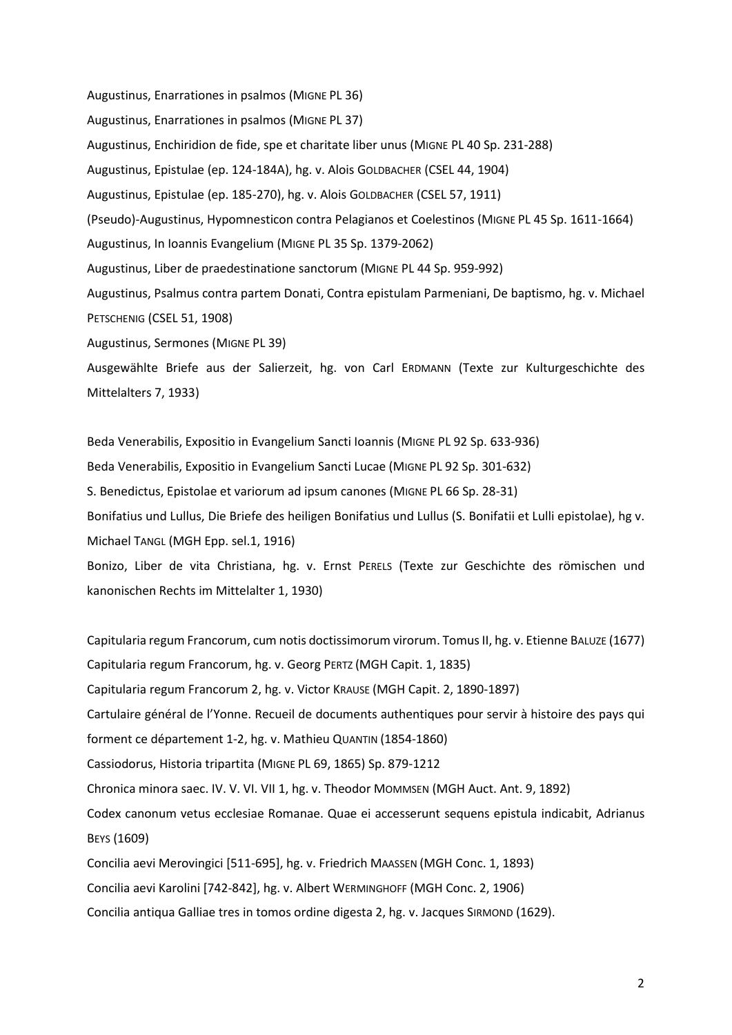Augustinus, Enarrationes in psalmos (MIGNE PL 36) Augustinus, Enarrationes in psalmos (MIGNE PL 37) Augustinus, Enchiridion de fide, spe et charitate liber unus (MIGNE PL 40 Sp. 231-288) Augustinus, Epistulae (ep. 124-184A), hg. v. Alois GOLDBACHER (CSEL 44, 1904) Augustinus, Epistulae (ep. 185-270), hg. v. Alois GOLDBACHER (CSEL 57, 1911) (Pseudo)-Augustinus, Hypomnesticon contra Pelagianos et Coelestinos (MIGNE PL 45 Sp. 1611-1664) Augustinus, In Ioannis Evangelium (MIGNE PL 35 Sp. 1379-2062) Augustinus, Liber de praedestinatione sanctorum (MIGNE PL 44 Sp. 959-992) Augustinus, Psalmus contra partem Donati, Contra epistulam Parmeniani, De baptismo, hg. v. Michael PETSCHENIG (CSEL 51, 1908) Augustinus, Sermones (MIGNE PL 39) Ausgewählte Briefe aus der Salierzeit, hg. von Carl ERDMANN (Texte zur Kulturgeschichte des

Mittelalters 7, 1933)

Beda Venerabilis, Expositio in Evangelium Sancti Ioannis (MIGNE PL 92 Sp. 633-936) Beda Venerabilis, Expositio in Evangelium Sancti Lucae (MIGNE PL 92 Sp. 301-632) S. Benedictus, Epistolae et variorum ad ipsum canones (MIGNE PL 66 Sp. 28-31) Bonifatius und Lullus, Die Briefe des heiligen Bonifatius und Lullus (S. Bonifatii et Lulli epistolae), hg v. Michael TANGL (MGH Epp. sel.1, 1916) Bonizo, Liber de vita Christiana, hg. v. Ernst PERELS (Texte zur Geschichte des römischen und kanonischen Rechts im Mittelalter 1, 1930)

Capitularia regum Francorum, cum notis doctissimorum virorum. Tomus II, hg. v. Etienne BALUZE (1677) Capitularia regum Francorum, hg. v. Georg PERTZ (MGH Capit. 1, 1835) Capitularia regum Francorum 2, hg. v. Victor KRAUSE (MGH Capit. 2, 1890-1897) Cartulaire général de l'Yonne. Recueil de documents authentiques pour servir à histoire des pays qui forment ce département 1-2, hg. v. Mathieu QUANTIN (1854-1860) Cassiodorus, Historia tripartita (MIGNE PL 69, 1865) Sp. 879-1212 Chronica minora saec. IV. V. VI. VII 1, hg. v. Theodor MOMMSEN (MGH Auct. Ant. 9, 1892) Codex canonum vetus ecclesiae Romanae. Quae ei accesserunt sequens epistula indicabit, Adrianus BEYS (1609) Concilia aevi Merovingici [511-695], hg. v. Friedrich MAASSEN (MGH Conc. 1, 1893) Concilia aevi Karolini [742-842], hg. v. Albert WERMINGHOFF (MGH Conc. 2, 1906)

Concilia antiqua Galliae tres in tomos ordine digesta 2, hg. v. Jacques SIRMOND (1629).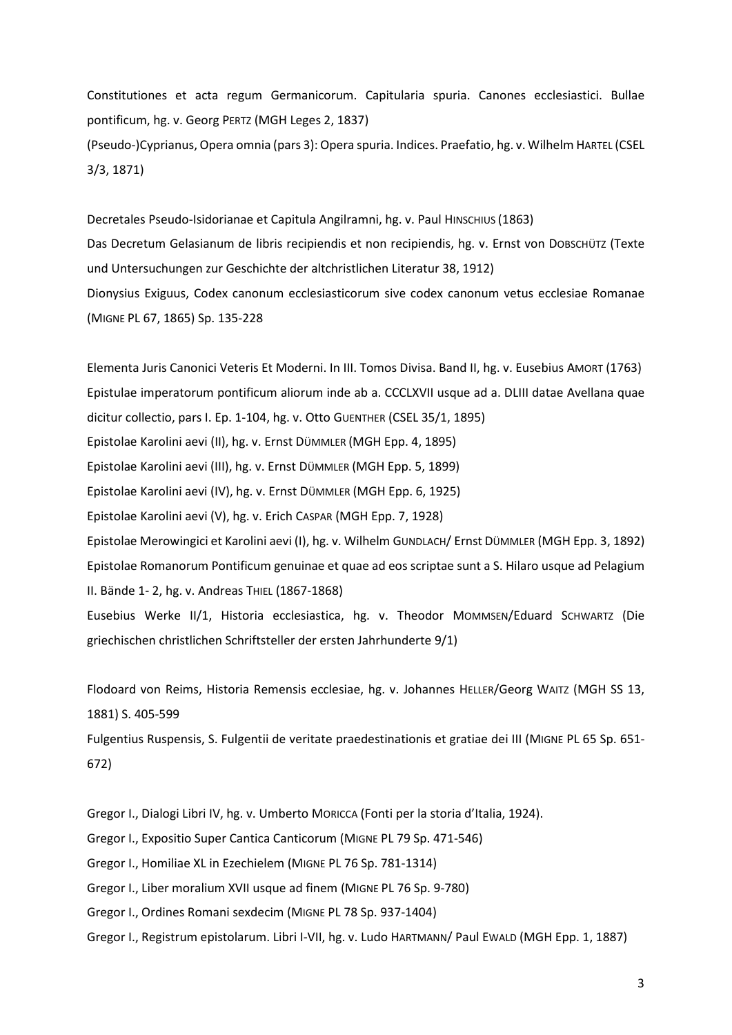Constitutiones et acta regum Germanicorum. Capitularia spuria. Canones ecclesiastici. Bullae pontificum, hg. v. Georg PERTZ (MGH Leges 2, 1837) (Pseudo-)Cyprianus, Opera omnia (pars 3): Opera spuria. Indices. Praefatio, hg. v. Wilhelm HARTEL (CSEL 3/3, 1871)

Decretales Pseudo-Isidorianae et Capitula Angilramni, hg. v. Paul HINSCHIUS (1863) Das Decretum Gelasianum de libris recipiendis et non recipiendis, hg. v. Ernst von DOBSCHÜTZ (Texte und Untersuchungen zur Geschichte der altchristlichen Literatur 38, 1912) Dionysius Exiguus, Codex canonum ecclesiasticorum sive codex canonum vetus ecclesiae Romanae (MIGNE PL 67, 1865) Sp. 135-228

Elementa Juris Canonici Veteris Et Moderni. In III. Tomos Divisa. Band II, hg. v. Eusebius AMORT (1763) Epistulae imperatorum pontificum aliorum inde ab a. CCCLXVII usque ad a. DLIII datae Avellana quae dicitur collectio, pars I. Ep. 1-104, hg. v. Otto GUENTHER (CSEL 35/1, 1895) Epistolae Karolini aevi (II), hg. v. Ernst DÜMMLER (MGH Epp. 4, 1895) Epistolae Karolini aevi (III), hg. v. Ernst DÜMMLER (MGH Epp. 5, 1899) Epistolae Karolini aevi (IV), hg. v. Ernst DÜMMLER (MGH Epp. 6, 1925) Epistolae Karolini aevi (V), hg. v. Erich CASPAR (MGH Epp. 7, 1928) Epistolae Merowingici et Karolini aevi (I), hg. v. Wilhelm GUNDLACH/ Ernst DÜMMLER (MGH Epp. 3, 1892) Epistolae Romanorum Pontificum genuinae et quae ad eos scriptae sunt a S. Hilaro usque ad Pelagium II. Bände 1- 2, hg. v. Andreas THIEL (1867-1868) Eusebius Werke II/1, Historia ecclesiastica, hg. v. Theodor MOMMSEN/Eduard SCHWARTZ (Die griechischen christlichen Schriftsteller der ersten Jahrhunderte 9/1)

Flodoard von Reims, Historia Remensis ecclesiae, hg. v. Johannes HELLER/Georg WAITZ (MGH SS 13, 1881) S. 405-599

Fulgentius Ruspensis, S. Fulgentii de veritate praedestinationis et gratiae dei III (MIGNE PL 65 Sp. 651- 672)

Gregor I., Dialogi Libri IV, hg. v. Umberto MORICCA (Fonti per la storia d'Italia, 1924).

Gregor I., Expositio Super Cantica Canticorum (MIGNE PL 79 Sp. 471-546)

Gregor I., Homiliae XL in Ezechielem (MIGNE PL 76 Sp. 781-1314)

Gregor I., Liber moralium XVII usque ad finem (MIGNE PL 76 Sp. 9-780)

Gregor I., Ordines Romani sexdecim (MIGNE PL 78 Sp. 937-1404)

Gregor I., Registrum epistolarum. Libri I-VII, hg. v. Ludo HARTMANN/ Paul EWALD (MGH Epp. 1, 1887)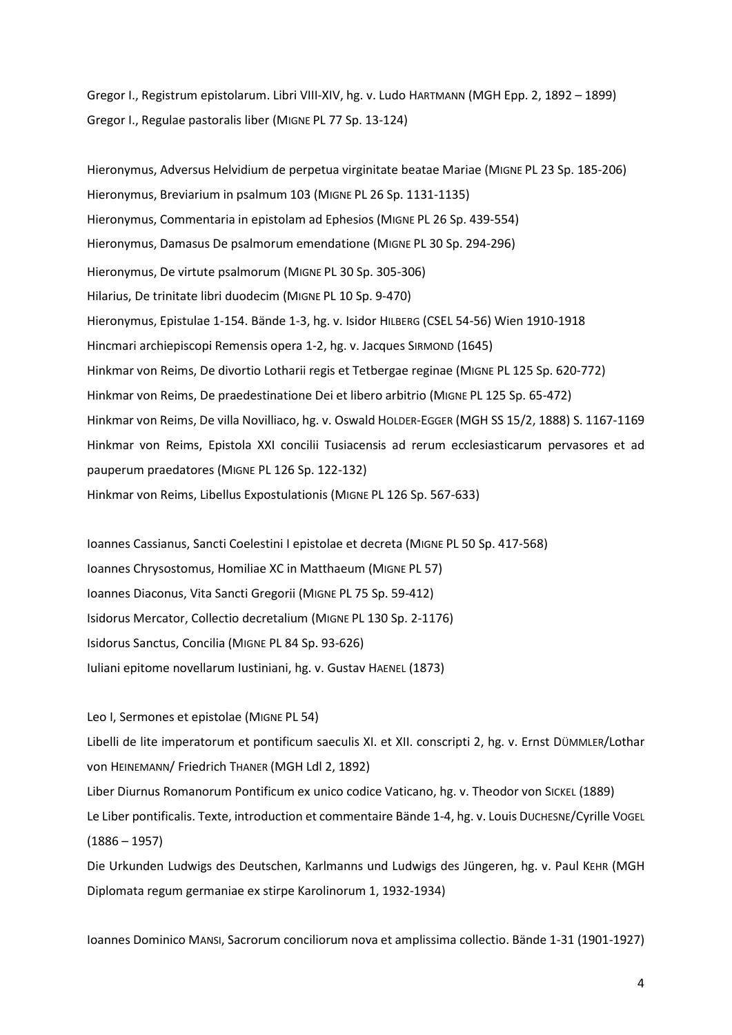Gregor I., Registrum epistolarum. Libri VIII-XIV, hg. v. Ludo HARTMANN (MGH Epp. 2, 1892 – 1899) Gregor I., Regulae pastoralis liber (MIGNE PL 77 Sp. 13-124)

Hieronymus, Adversus Helvidium de perpetua virginitate beatae Mariae (MIGNE PL 23 Sp. 185-206) Hieronymus, Breviarium in psalmum 103 (MIGNE PL 26 Sp. 1131-1135) Hieronymus, Commentaria in epistolam ad Ephesios (MIGNE PL 26 Sp. 439-554) Hieronymus, Damasus De psalmorum emendatione (MIGNE PL 30 Sp. 294-296) Hieronymus, De virtute psalmorum (MIGNE PL 30 Sp. 305-306) Hilarius, De trinitate libri duodecim (MIGNE PL 10 Sp. 9-470) Hieronymus, Epistulae 1-154. Bände 1-3, hg. v. Isidor HILBERG (CSEL 54-56) Wien 1910-1918 Hincmari archiepiscopi Remensis opera 1-2, hg. v. Jacques SIRMOND (1645) Hinkmar von Reims, De divortio Lotharii regis et Tetbergae reginae (MIGNE PL 125 Sp. 620-772) Hinkmar von Reims, De praedestinatione Dei et libero arbitrio (MIGNE PL 125 Sp. 65-472) Hinkmar von Reims, De villa Novilliaco, hg. v. Oswald HOLDER-EGGER (MGH SS 15/2, 1888) S. 1167-1169 Hinkmar von Reims, Epistola XXI concilii Tusiacensis ad rerum ecclesiasticarum pervasores et ad pauperum praedatores (MIGNE PL 126 Sp. 122-132) Hinkmar von Reims, Libellus Expostulationis (MIGNE PL 126 Sp. 567-633)

Ioannes Cassianus, Sancti Coelestini I epistolae et decreta (MIGNE PL 50 Sp. 417-568) Ioannes Chrysostomus, Homiliae XC in Matthaeum (MIGNE PL 57) Ioannes Diaconus, Vita Sancti Gregorii (MIGNE PL 75 Sp. 59-412) Isidorus Mercator, Collectio decretalium (MIGNE PL 130 Sp. 2-1176) Isidorus Sanctus, Concilia (MIGNE PL 84 Sp. 93-626) Iuliani epitome novellarum Iustiniani, hg. v. Gustav HAENEL (1873)

Leo I, Sermones et epistolae (MIGNE PL 54)

Libelli de lite imperatorum et pontificum saeculis XI. et XII. conscripti 2, hg. v. Ernst DÜMMLER/Lothar von HEINEMANN/ Friedrich THANER (MGH Ldl 2, 1892)

Liber Diurnus Romanorum Pontificum ex unico codice Vaticano, hg. v. Theodor von SICKEL (1889) Le Liber pontificalis. Texte, introduction et commentaire Bände 1-4, hg. v. Louis DUCHESNE/Cyrille VOGEL (1886 – 1957)

Die Urkunden Ludwigs des Deutschen, Karlmanns und Ludwigs des Jüngeren, hg. v. Paul KEHR (MGH Diplomata regum germaniae ex stirpe Karolinorum 1, 1932-1934)

Ioannes Dominico MANSI, Sacrorum conciliorum nova et amplissima collectio. Bände 1-31 (1901-1927)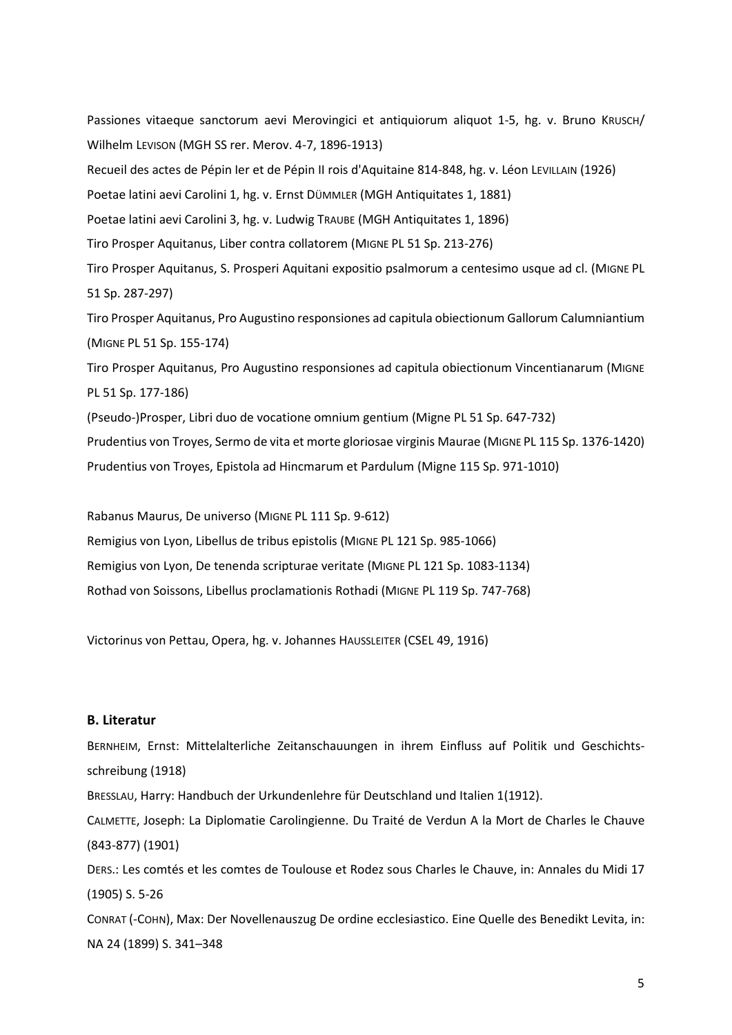Passiones vitaeque sanctorum aevi Merovingici et antiquiorum aliquot 1-5, hg. v. Bruno KRUSCH/ Wilhelm LEVISON (MGH SS rer. Merov. 4-7, 1896-1913) Recueil des actes de Pépin Ier et de Pépin II rois d'Aquitaine 814-848, hg. v. Léon LEVILLAIN (1926) Poetae latini aevi Carolini 1, hg. v. Ernst DÜMMLER (MGH Antiquitates 1, 1881) Poetae latini aevi Carolini 3, hg. v. Ludwig TRAUBE (MGH Antiquitates 1, 1896) Tiro Prosper Aquitanus, Liber contra collatorem (MIGNE PL 51 Sp. 213-276) Tiro Prosper Aquitanus, S. Prosperi Aquitani expositio psalmorum a centesimo usque ad cl. (MIGNE PL 51 Sp. 287-297) Tiro Prosper Aquitanus, Pro Augustino responsiones ad capitula obiectionum Gallorum Calumniantium (MIGNE PL 51 Sp. 155-174) Tiro Prosper Aquitanus, Pro Augustino responsiones ad capitula obiectionum Vincentianarum (MIGNE PL 51 Sp. 177-186) (Pseudo-)Prosper, Libri duo de vocatione omnium gentium (Migne PL 51 Sp. 647-732) Prudentius von Troyes, Sermo de vita et morte gloriosae virginis Maurae (MIGNE PL 115 Sp. 1376-1420) Prudentius von Troyes, Epistola ad Hincmarum et Pardulum (Migne 115 Sp. 971-1010)

Rabanus Maurus, De universo (MIGNE PL 111 Sp. 9-612)

Remigius von Lyon, Libellus de tribus epistolis (MIGNE PL 121 Sp. 985-1066)

Remigius von Lyon, De tenenda scripturae veritate (MIGNE PL 121 Sp. 1083-1134)

Rothad von Soissons, Libellus proclamationis Rothadi (MIGNE PL 119 Sp. 747-768)

Victorinus von Pettau, Opera, hg. v. Johannes HAUSSLEITER (CSEL 49, 1916)

## **B. Literatur**

BERNHEIM, Ernst: Mittelalterliche Zeitanschauungen in ihrem Einfluss auf Politik und Geschichtsschreibung (1918) BRESSLAU, Harry: Handbuch der Urkundenlehre für Deutschland und Italien 1(1912). CALMETTE, Joseph: La Diplomatie Carolingienne. Du Traité de Verdun A la Mort de Charles le Chauve (843-877) (1901) DERS.: Les comtés et les comtes de Toulouse et Rodez sous Charles le Chauve, in: Annales du Midi 17 (1905) S. 5-26 CONRAT (-COHN), Max: Der Novellenauszug De ordine ecclesiastico. Eine Quelle des Benedikt Levita, in: NA 24 (1899) S. 341–348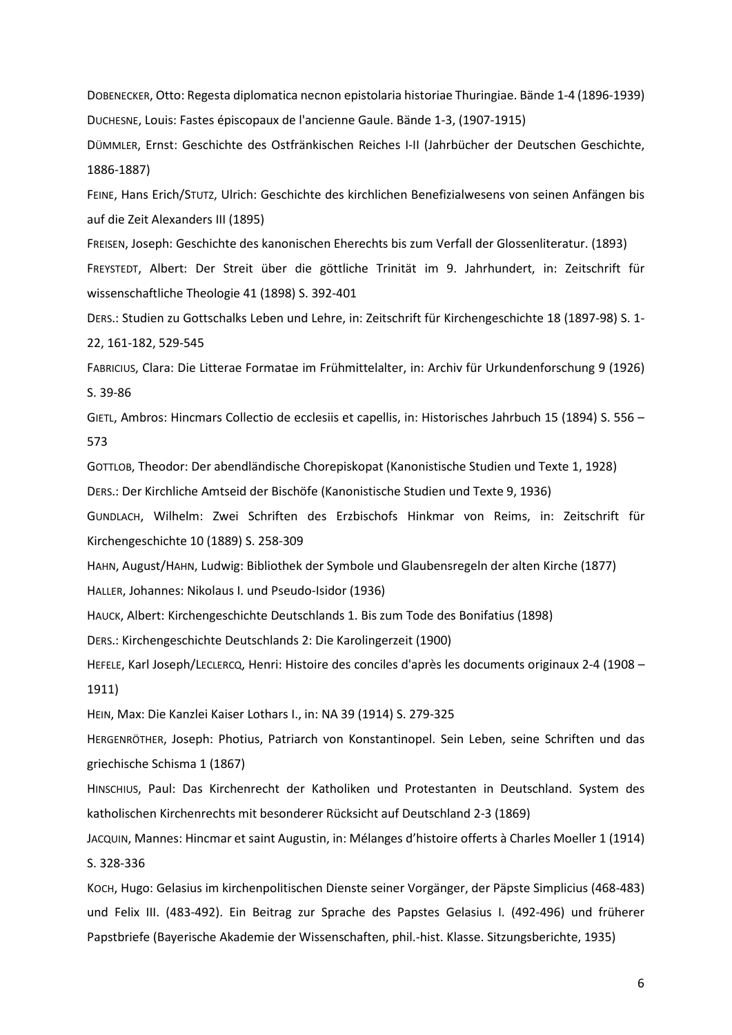DOBENECKER, Otto: Regesta diplomatica necnon epistolaria historiae Thuringiae. Bände 1-4 (1896-1939) DUCHESNE, Louis: Fastes épiscopaux de l'ancienne Gaule. Bände 1-3, (1907-1915)

DÜMMLER, Ernst: Geschichte des Ostfränkischen Reiches I-II (Jahrbücher der Deutschen Geschichte, 1886-1887)

FEINE, Hans Erich/STUTZ, Ulrich: Geschichte des kirchlichen Benefizialwesens von seinen Anfängen bis auf die Zeit Alexanders III (1895)

FREISEN, Joseph: Geschichte des kanonischen Eherechts bis zum Verfall der Glossenliteratur. (1893) FREYSTEDT, Albert: Der Streit über die göttliche Trinität im 9. Jahrhundert, in: Zeitschrift für wissenschaftliche Theologie 41 (1898) S. 392-401

DERS.: Studien zu Gottschalks Leben und Lehre, in: Zeitschrift für Kirchengeschichte 18 (1897-98) S. 1- 22, 161-182, 529-545

FABRICIUS, Clara: Die Litterae Formatae im Frühmittelalter, in: Archiv für Urkundenforschung 9 (1926) S. 39-86

GIETL, Ambros: Hincmars Collectio de ecclesiis et capellis, in: Historisches Jahrbuch 15 (1894) S. 556 – 573

GOTTLOB, Theodor: Der abendländische Chorepiskopat (Kanonistische Studien und Texte 1, 1928) DERS.: Der Kirchliche Amtseid der Bischöfe (Kanonistische Studien und Texte 9, 1936)

GUNDLACH, Wilhelm: Zwei Schriften des Erzbischofs Hinkmar von Reims, in: Zeitschrift für Kirchengeschichte 10 (1889) S. 258-309

HAHN, August/HAHN, Ludwig: Bibliothek der Symbole und Glaubensregeln der alten Kirche (1877)

HALLER, Johannes: Nikolaus I. und Pseudo-Isidor (1936)

HAUCK, Albert: Kirchengeschichte Deutschlands 1. Bis zum Tode des Bonifatius (1898)

DERS.: Kirchengeschichte Deutschlands 2: Die Karolingerzeit (1900)

HEFELE, Karl Joseph/LECLERCQ, Henri: Histoire des conciles d'après les documents originaux 2-4 (1908 – 1911)

HEIN, Max: Die Kanzlei Kaiser Lothars I., in: NA 39 (1914) S. 279-325

HERGENRÖTHER, Joseph: Photius, Patriarch von Konstantinopel. Sein Leben, seine Schriften und das griechische Schisma 1 (1867)

HINSCHIUS, Paul: Das Kirchenrecht der Katholiken und Protestanten in Deutschland. System des katholischen Kirchenrechts mit besonderer Rücksicht auf Deutschland 2-3 (1869)

JACQUIN, Mannes: Hincmar et saint Augustin, in: Mélanges d'histoire offerts à Charles Moeller 1 (1914) S. 328-336

KOCH, Hugo: Gelasius im kirchenpolitischen Dienste seiner Vorgänger, der Päpste Simplicius (468-483) und Felix III. (483-492). Ein Beitrag zur Sprache des Papstes Gelasius I. (492-496) und früherer Papstbriefe (Bayerische Akademie der Wissenschaften, phil.-hist. Klasse. Sitzungsberichte, 1935)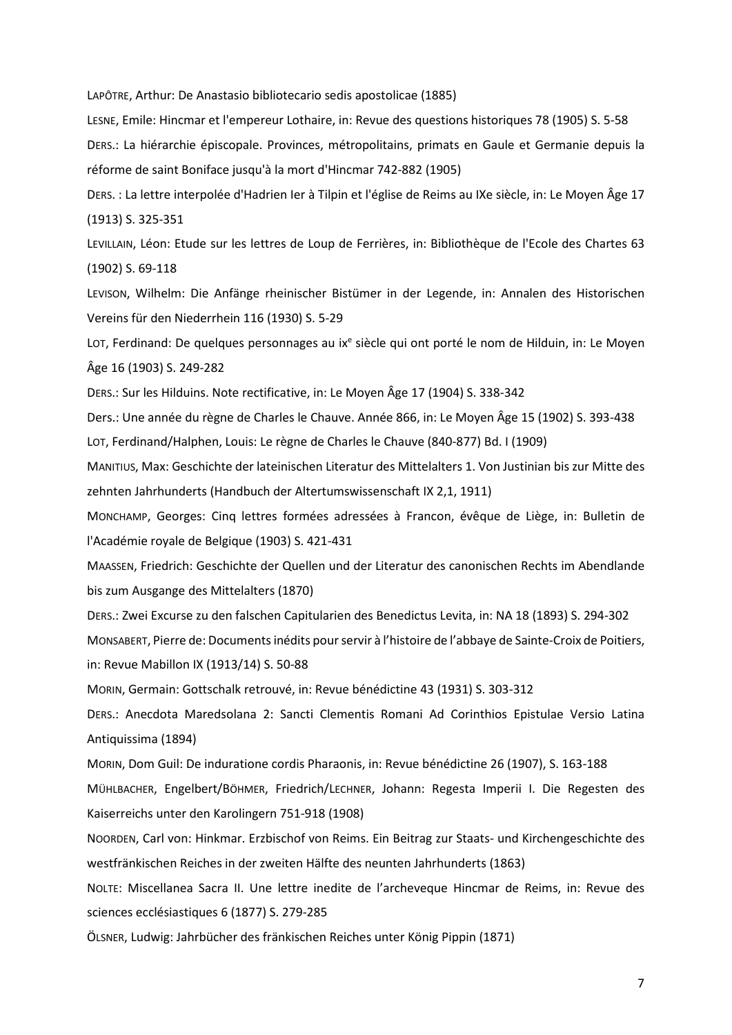LAPÔTRE, Arthur: De Anastasio bibliotecario sedis apostolicae (1885)

LESNE, Emile: Hincmar et l'empereur Lothaire, in: Revue des questions historiques 78 (1905) S. 5-58

DERS.: La hiérarchie épiscopale. Provinces, métropolitains, primats en Gaule et Germanie depuis la réforme de saint Boniface jusqu'à la mort d'Hincmar 742-882 (1905)

DERS. : La lettre interpolée d'Hadrien Ier à Tilpin et l'église de Reims au IXe siècle, in: Le Moyen Âge 17 (1913) S. 325-351

LEVILLAIN, Léon: Etude sur les lettres de Loup de Ferrières, in: Bibliothèque de l'Ecole des Chartes 63 (1902) S. 69-118

LEVISON, Wilhelm: Die Anfänge rheinischer Bistümer in der Legende, in: Annalen des Historischen Vereins für den Niederrhein 116 (1930) S. 5-29

LOT, Ferdinand: De quelques personnages au ix<sup>e</sup> siècle qui ont porté le nom de Hilduin, in: Le Moyen Âge 16 (1903) S. 249-282

DERS.: Sur les Hilduins. Note rectificative, in: Le Moyen Âge 17 (1904) S. 338-342

Ders.: Une année du règne de Charles le Chauve. Année 866, in: Le Moyen Âge 15 (1902) S. 393-438 LOT, Ferdinand/Halphen, Louis: Le règne de Charles le Chauve (840-877) Bd. I (1909)

MANITIUS, Max: Geschichte der lateinischen Literatur des Mittelalters 1. Von Justinian bis zur Mitte des zehnten Jahrhunderts (Handbuch der Altertumswissenschaft IX 2,1, 1911)

MONCHAMP, Georges: Cinq lettres formées adressées à Francon, évêque de Liège, in: Bulletin de l'Académie royale de Belgique (1903) S. 421-431

MAASSEN, Friedrich: Geschichte der Quellen und der Literatur des canonischen Rechts im Abendlande bis zum Ausgange des Mittelalters (1870)

DERS.: Zwei Excurse zu den falschen Capitularien des Benedictus Levita, in: NA 18 (1893) S. 294-302 MONSABERT, Pierre de: Documents inédits pour servir à l'histoire de l'abbaye de Sainte-Croix de Poitiers, in: Revue Mabillon IX (1913/14) S. 50-88

MORIN, Germain: Gottschalk retrouvé, in: Revue bénédictine 43 (1931) S. 303-312

DERS.: Anecdota Maredsolana 2: Sancti Clementis Romani Ad Corinthios Epistulae Versio Latina Antiquissima (1894)

MORIN, Dom Guil: De induratione cordis Pharaonis, in: Revue bénédictine 26 (1907), S. 163-188 MÜHLBACHER, Engelbert/BÖHMER, Friedrich/LECHNER, Johann: Regesta Imperii I. Die Regesten des Kaiserreichs unter den Karolingern 751-918 (1908)

NOORDEN, Carl von: Hinkmar. Erzbischof von Reims. Ein Beitrag zur Staats- und Kirchengeschichte des westfränkischen Reiches in der zweiten Hälfte des neunten Jahrhunderts (1863)

NOLTE: Miscellanea Sacra II. Une lettre inedite de l'archeveque Hincmar de Reims, in: Revue des sciences ecclésiastiques 6 (1877) S. 279-285

ÖLSNER, Ludwig: Jahrbücher des fränkischen Reiches unter König Pippin (1871)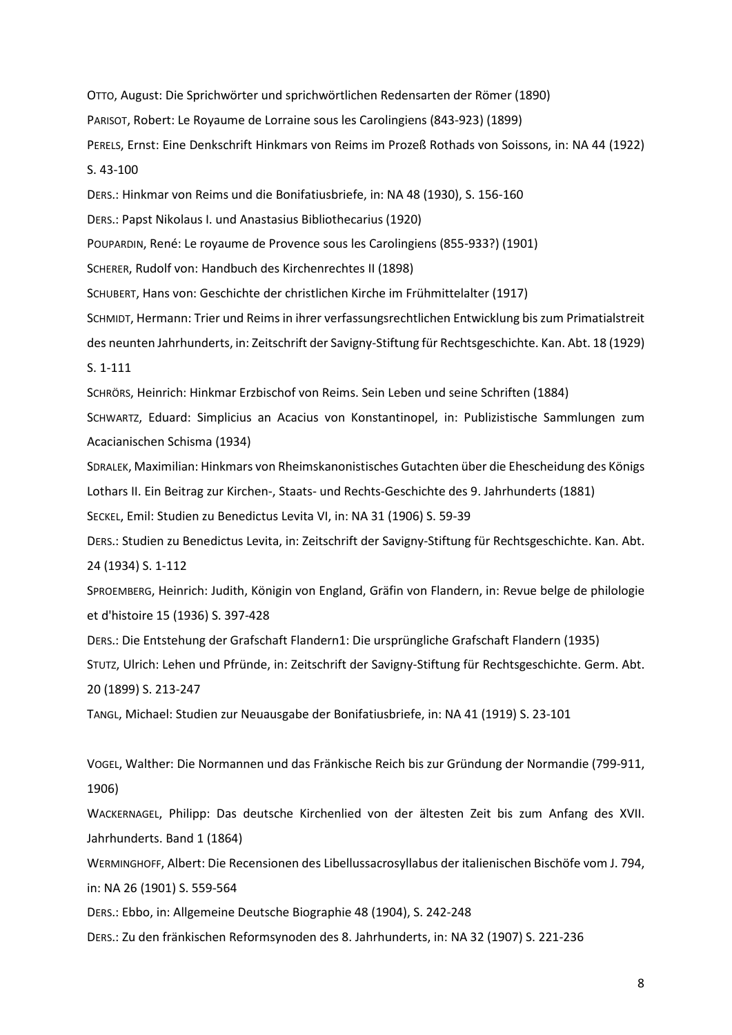OTTO, August: Die Sprichwörter und sprichwörtlichen Redensarten der Römer (1890) PARISOT, Robert: Le Royaume de Lorraine sous les Carolingiens (843-923) (1899) PERELS, Ernst: Eine Denkschrift Hinkmars von Reims im Prozeß Rothads von Soissons, in: NA 44 (1922) S. 43-100

DERS.: Hinkmar von Reims und die Bonifatiusbriefe, in: NA 48 (1930), S. 156-160

DERS.: Papst Nikolaus I. und Anastasius Bibliothecarius (1920)

POUPARDIN, René: Le royaume de Provence sous les Carolingiens (855-933?) (1901)

SCHERER, Rudolf von: Handbuch des Kirchenrechtes II (1898)

SCHUBERT, Hans von: Geschichte der christlichen Kirche im Frühmittelalter (1917)

SCHMIDT, Hermann: Trier und Reims in ihrer verfassungsrechtlichen Entwicklung bis zum Primatialstreit des neunten Jahrhunderts, in: Zeitschrift der Savigny-Stiftung für Rechtsgeschichte. Kan. Abt. 18 (1929) S. 1-111

SCHRÖRS, Heinrich: Hinkmar Erzbischof von Reims. Sein Leben und seine Schriften (1884)

SCHWARTZ, Eduard: Simplicius an Acacius von Konstantinopel, in: Publizistische Sammlungen zum Acacianischen Schisma (1934)

SDRALEK, Maximilian: Hinkmars von Rheimskanonistisches Gutachten über die Ehescheidung des Königs Lothars II. Ein Beitrag zur Kirchen-, Staats- und Rechts-Geschichte des 9. Jahrhunderts (1881)

SECKEL, Emil: Studien zu Benedictus Levita VI, in: NA 31 (1906) S. 59-39

DERS.: Studien zu Benedictus Levita, in: Zeitschrift der Savigny-Stiftung für Rechtsgeschichte. Kan. Abt. 24 (1934) S. 1-112

SPROEMBERG, Heinrich: Judith, Königin von England, Gräfin von Flandern, in: Revue belge de philologie et d'histoire 15 (1936) S. 397-428

DERS.: Die Entstehung der Grafschaft Flandern1: Die ursprüngliche Grafschaft Flandern (1935)

STUTZ, Ulrich: Lehen und Pfründe, in: Zeitschrift der Savigny-Stiftung für Rechtsgeschichte. Germ. Abt. 20 (1899) S. 213-247

TANGL, Michael: Studien zur Neuausgabe der Bonifatiusbriefe, in: NA 41 (1919) S. 23-101

VOGEL, Walther: Die Normannen und das Fränkische Reich bis zur Gründung der Normandie (799-911, 1906)

WACKERNAGEL, Philipp: Das deutsche Kirchenlied von der ältesten Zeit bis zum Anfang des XVII. Jahrhunderts. Band 1 (1864)

WERMINGHOFF, Albert: Die Recensionen des Libellussacrosyllabus der italienischen Bischöfe vom J. 794, in: NA 26 (1901) S. 559-564

DERS.: Ebbo, in: Allgemeine Deutsche Biographie 48 (1904), S. 242-248

DERS.: Zu den fränkischen Reformsynoden des 8. Jahrhunderts, in: NA 32 (1907) S. 221-236